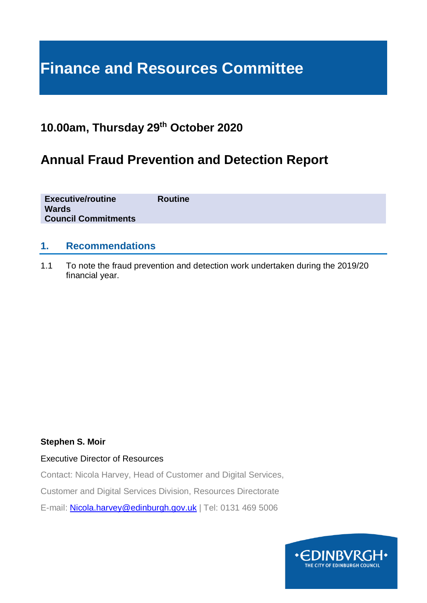# **Finance and Resources Committee**

### **10.00am, Thursday 29th October 2020**

## **Annual Fraud Prevention and Detection Report**

| <b>Executive/routine</b><br><b>Wards</b><br><b>Council Commitments</b> | <b>Routine</b> |
|------------------------------------------------------------------------|----------------|
|                                                                        |                |

### **1. Recommendations**

1.1 To note the fraud prevention and detection work undertaken during the 2019/20 financial year.

### **Stephen S. Moir**

### Executive Director of Resources

Contact: Nicola Harvey, Head of Customer and Digital Services,

Customer and Digital Services Division, Resources Directorate

E-mail: [Nicola.harvey@edinburgh.gov.uk](mailto:Nicola.harvey@edinburgh.gov.uk) | Tel: 0131 469 5006

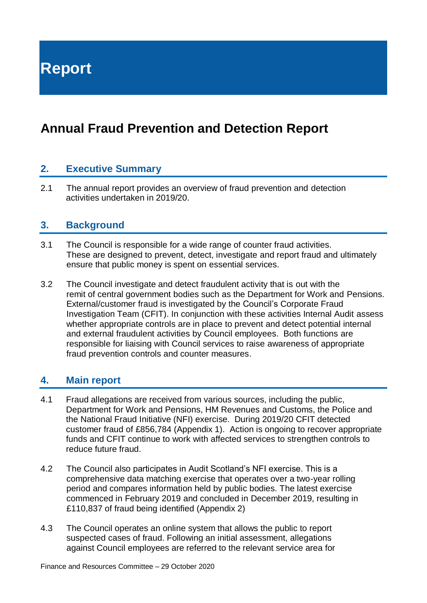**Report**

# **Annual Fraud Prevention and Detection Report**

### **2. Executive Summary**

2.1 The annual report provides an overview of fraud prevention and detection activities undertaken in 2019/20.

### **3. Background**

- 3.1 The Council is responsible for a wide range of counter fraud activities. These are designed to prevent, detect, investigate and report fraud and ultimately ensure that public money is spent on essential services.
- 3.2 The Council investigate and detect fraudulent activity that is out with the remit of central government bodies such as the Department for Work and Pensions. External/customer fraud is investigated by the Council's Corporate Fraud Investigation Team (CFIT). In conjunction with these activities Internal Audit assess whether appropriate controls are in place to prevent and detect potential internal and external fraudulent activities by Council employees. Both functions are responsible for liaising with Council services to raise awareness of appropriate fraud prevention controls and counter measures.

### **4. Main report**

- 4.1 Fraud allegations are received from various sources, including the public, Department for Work and Pensions, HM Revenues and Customs, the Police and the National Fraud Initiative (NFI) exercise. During 2019/20 CFIT detected customer fraud of £856,784 (Appendix 1). Action is ongoing to recover appropriate funds and CFIT continue to work with affected services to strengthen controls to reduce future fraud.
- 4.2 The Council also participates in Audit Scotland's NFI exercise. This is a comprehensive data matching exercise that operates over a two-year rolling period and compares information held by public bodies. The latest exercise commenced in February 2019 and concluded in December 2019, resulting in £110,837 of fraud being identified (Appendix 2)
- 4.3 The Council operates an online system that allows the public to report suspected cases of fraud. Following an initial assessment, allegations against Council employees are referred to the relevant service area for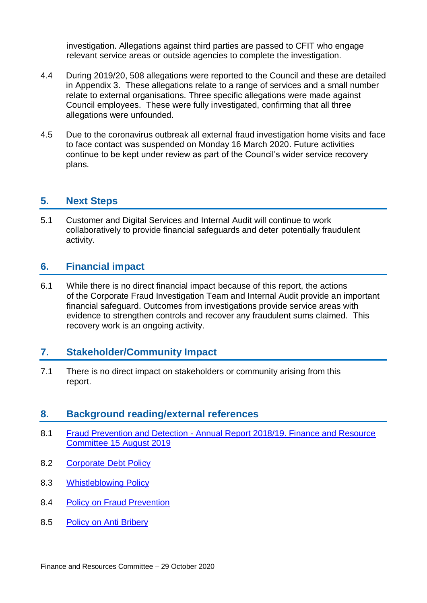investigation. Allegations against third parties are passed to CFIT who engage relevant service areas or outside agencies to complete the investigation.

- 4.4 During 2019/20, 508 allegations were reported to the Council and these are detailed in Appendix 3. These allegations relate to a range of services and a small number relate to external organisations. Three specific allegations were made against Council employees. These were fully investigated, confirming that all three allegations were unfounded.
- 4.5 Due to the coronavirus outbreak all external fraud investigation home visits and face to face contact was suspended on Monday 16 March 2020. Future activities continue to be kept under review as part of the Council's wider service recovery plans.

### **5. Next Steps**

5.1 Customer and Digital Services and Internal Audit will continue to work collaboratively to provide financial safeguards and deter potentially fraudulent activity.

### **6. Financial impact**

6.1 While there is no direct financial impact because of this report, the actions of the Corporate Fraud Investigation Team and Internal Audit provide an important financial safeguard. Outcomes from investigations provide service areas with evidence to strengthen controls and recover any fraudulent sums claimed. This recovery work is an ongoing activity.

### **7. Stakeholder/Community Impact**

7.1 There is no direct impact on stakeholders or community arising from this report.

### **8. Background reading/external references**

- 8.1 Fraud Prevention and Detection [Annual Report 2018/19. Finance and Resource](https://democracy.edinburgh.gov.uk/mgIssueHistoryHome.aspx?IId=6729)  [Committee 15 August 2019](https://democracy.edinburgh.gov.uk/mgIssueHistoryHome.aspx?IId=6729)
- 8.2 [Corporate Debt Policy](https://www.edinburgh.gov.uk/downloads/file/26345/corporate-debt-policy-2019)
- 8.3 [Whistleblowing Policy](https://orb.edinburgh.gov.uk/downloads/file/16204/whistleblowing-policy)
- 8.4 [Policy on Fraud Prevention](https://orb.edinburgh.gov.uk/downloads/file/14718/fraud_prevention_policy)
- 8.5 [Policy on Anti Bribery](https://orb.edinburgh.gov.uk/downloads/file/9746/anti-bribery_policy)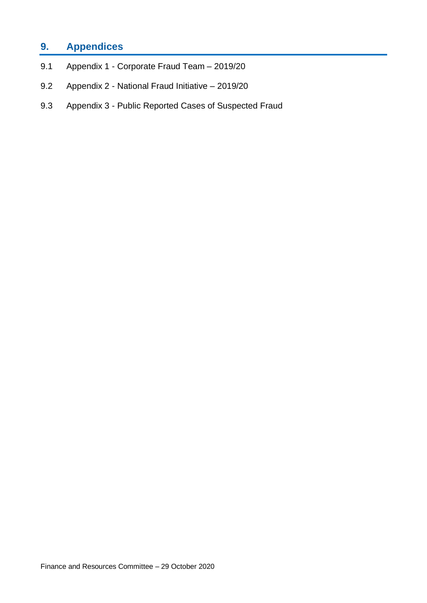### **9. Appendices**

- 9.1 Appendix 1 Corporate Fraud Team 2019/20
- 9.2 Appendix 2 National Fraud Initiative 2019/20
- 9.3 Appendix 3 Public Reported Cases of Suspected Fraud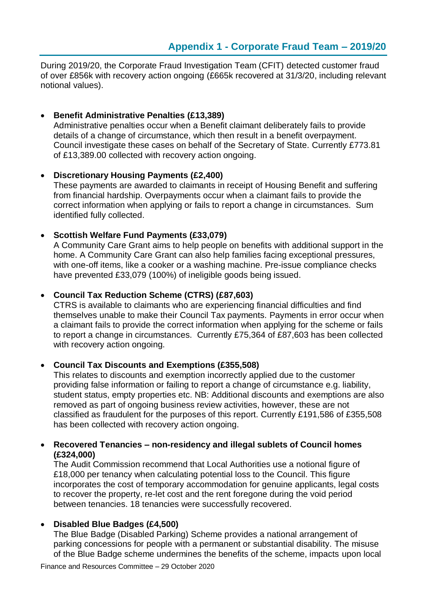During 2019/20, the Corporate Fraud Investigation Team (CFIT) detected customer fraud of over £856k with recovery action ongoing (£665k recovered at 31/3/20, including relevant notional values).

### • **Benefit Administrative Penalties (£13,389)**

Administrative penalties occur when a Benefit claimant deliberately fails to provide details of a change of circumstance, which then result in a benefit overpayment. Council investigate these cases on behalf of the Secretary of State. Currently £773.81 of £13,389.00 collected with recovery action ongoing.

#### • **Discretionary Housing Payments (£2,400)**

These payments are awarded to claimants in receipt of Housing Benefit and suffering from financial hardship. Overpayments occur when a claimant fails to provide the correct information when applying or fails to report a change in circumstances. Sum identified fully collected.

### • **Scottish Welfare Fund Payments (£33,079)**

A Community Care Grant aims to help people on benefits with additional support in the home. A Community Care Grant can also help families facing exceptional pressures, with one-off items, like a cooker or a washing machine. Pre-issue compliance checks have prevented £33,079 (100%) of ineligible goods being issued.

### • **Council Tax Reduction Scheme (CTRS) (£87,603)**

CTRS is available to claimants who are experiencing financial difficulties and find themselves unable to make their Council Tax payments. Payments in error occur when a claimant fails to provide the correct information when applying for the scheme or fails to report a change in circumstances. Currently £75,364 of £87,603 has been collected with recovery action ongoing.

### • **Council Tax Discounts and Exemptions (£355,508)**

This relates to discounts and exemption incorrectly applied due to the customer providing false information or failing to report a change of circumstance e.g. liability, student status, empty properties etc. NB: Additional discounts and exemptions are also removed as part of ongoing business review activities, however, these are not classified as fraudulent for the purposes of this report. Currently £191,586 of £355,508 has been collected with recovery action ongoing.

#### • **Recovered Tenancies – non-residency and illegal sublets of Council homes (£324,000)**

The Audit Commission recommend that Local Authorities use a notional figure of £18,000 per tenancy when calculating potential loss to the Council. This figure incorporates the cost of temporary accommodation for genuine applicants, legal costs to recover the property, re-let cost and the rent foregone during the void period between tenancies. 18 tenancies were successfully recovered.

### • **Disabled Blue Badges (£4,500)**

The Blue Badge (Disabled Parking) Scheme provides a national arrangement of parking concessions for people with a permanent or substantial disability. The misuse of the Blue Badge scheme undermines the benefits of the scheme, impacts upon local

Finance and Resources Committee – 29 October 2020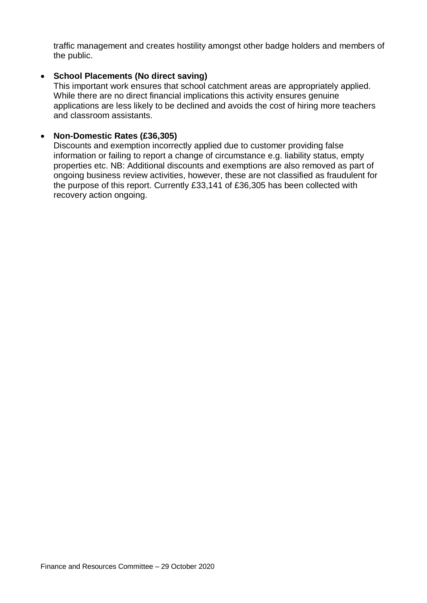traffic management and creates hostility amongst other badge holders and members of the public.

### • **School Placements (No direct saving)**

This important work ensures that school catchment areas are appropriately applied. While there are no direct financial implications this activity ensures genuine applications are less likely to be declined and avoids the cost of hiring more teachers and classroom assistants.

#### • **Non-Domestic Rates (£36,305)**

Discounts and exemption incorrectly applied due to customer providing false information or failing to report a change of circumstance e.g. liability status, empty properties etc. NB: Additional discounts and exemptions are also removed as part of ongoing business review activities, however, these are not classified as fraudulent for the purpose of this report. Currently £33,141 of £36,305 has been collected with recovery action ongoing.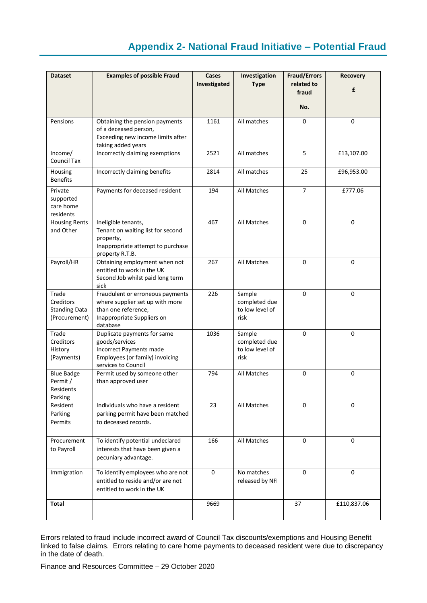### **Appendix 2- National Fraud Initiative – Potential Fraud**

| <b>Dataset</b>                                              | <b>Examples of possible Fraud</b>                                                                                                         | Cases<br>Investigated | Investigation<br><b>Type</b>                       | <b>Fraud/Errors</b><br>related to<br>fraud<br>No. | Recovery<br>£ |
|-------------------------------------------------------------|-------------------------------------------------------------------------------------------------------------------------------------------|-----------------------|----------------------------------------------------|---------------------------------------------------|---------------|
| Pensions                                                    | Obtaining the pension payments<br>of a deceased person,<br>Exceeding new income limits after<br>taking added years                        | 1161                  | All matches                                        | 0                                                 | 0             |
| Income/<br>Council Tax                                      | Incorrectly claiming exemptions                                                                                                           | 2521                  | All matches                                        | 5                                                 | £13,107.00    |
| Housing<br><b>Benefits</b>                                  | Incorrectly claiming benefits                                                                                                             | 2814                  | All matches                                        | 25                                                | £96,953.00    |
| Private<br>supported<br>care home<br>residents              | Payments for deceased resident                                                                                                            | 194                   | All Matches                                        | $\overline{7}$                                    | £777.06       |
| <b>Housing Rents</b><br>and Other                           | Ineligible tenants,<br>Tenant on waiting list for second<br>property,<br>Inappropriate attempt to purchase<br>property R.T.B.             | 467                   | All Matches                                        | 0                                                 | 0             |
| Payroll/HR                                                  | Obtaining employment when not<br>entitled to work in the UK<br>Second Job whilst paid long term<br>sick                                   | 267                   | All Matches                                        | 0                                                 | 0             |
| Trade<br>Creditors<br><b>Standing Data</b><br>(Procurement) | Fraudulent or erroneous payments<br>where supplier set up with more<br>than one reference,<br>Inappropriate Suppliers on<br>database      | 226                   | Sample<br>completed due<br>to low level of<br>risk | $\mathbf 0$                                       | 0             |
| Trade<br>Creditors<br>History<br>(Payments)                 | Duplicate payments for same<br>goods/services<br><b>Incorrect Payments made</b><br>Employees (or family) invoicing<br>services to Council | 1036                  | Sample<br>completed due<br>to low level of<br>risk | 0                                                 | 0             |
| <b>Blue Badge</b><br>Permit /<br>Residents<br>Parking       | Permit used by someone other<br>than approved user                                                                                        | 794                   | All Matches                                        | 0                                                 | 0             |
| Resident<br>Parking<br>Permits                              | Individuals who have a resident<br>parking permit have been matched<br>to deceased records.                                               | 23                    | All Matches                                        | 0                                                 | 0             |
| Procurement<br>to Payroll                                   | To identify potential undeclared<br>interests that have been given a<br>pecuniary advantage.                                              | 166                   | All Matches                                        | 0                                                 | 0             |
| Immigration                                                 | To identify employees who are not<br>entitled to reside and/or are not<br>entitled to work in the UK                                      | $\mathsf 0$           | No matches<br>released by NFI                      | 0                                                 | 0             |
| <b>Total</b>                                                |                                                                                                                                           | 9669                  |                                                    | 37                                                | £110,837.06   |

Errors related to fraud include incorrect award of Council Tax discounts/exemptions and Housing Benefit linked to false claims. Errors relating to care home payments to deceased resident were due to discrepancy in the date of death.

Finance and Resources Committee – 29 October 2020